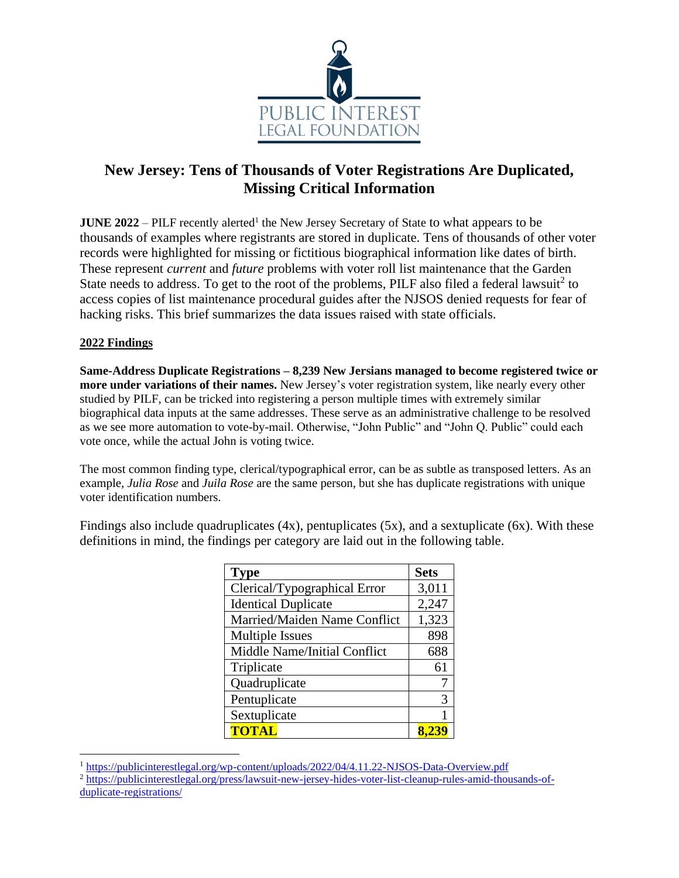

# **New Jersey: Tens of Thousands of Voter Registrations Are Duplicated, Missing Critical Information**

**JUNE** 2022 – PILF recently alerted<sup>1</sup> the New Jersey Secretary of State to what appears to be thousands of examples where registrants are stored in duplicate. Tens of thousands of other voter records were highlighted for missing or fictitious biographical information like dates of birth. These represent *current* and *future* problems with voter roll list maintenance that the Garden State needs to address. To get to the root of the problems, PILF also filed a federal lawsuit<sup>2</sup> to access copies of list maintenance procedural guides after the NJSOS denied requests for fear of hacking risks. This brief summarizes the data issues raised with state officials.

#### **2022 Findings**

**Same-Address Duplicate Registrations – 8,239 New Jersians managed to become registered twice or more under variations of their names.** New Jersey's voter registration system, like nearly every other studied by PILF, can be tricked into registering a person multiple times with extremely similar biographical data inputs at the same addresses. These serve as an administrative challenge to be resolved as we see more automation to vote-by-mail. Otherwise, "John Public" and "John Q. Public" could each vote once, while the actual John is voting twice.

The most common finding type, clerical/typographical error, can be as subtle as transposed letters. As an example, *Julia Rose* and *Juila Rose* are the same person, but she has duplicate registrations with unique voter identification numbers.

Findings also include quadruplicates  $(4x)$ , pentuplicates  $(5x)$ , and a sextuplicate  $(6x)$ . With these definitions in mind, the findings per category are laid out in the following table.

| <b>Type</b>                  | <b>Sets</b> |
|------------------------------|-------------|
| Clerical/Typographical Error | 3,011       |
| <b>Identical Duplicate</b>   | 2,247       |
| Married/Maiden Name Conflict | 1,323       |
| <b>Multiple Issues</b>       | 898         |
| Middle Name/Initial Conflict | 688         |
| Triplicate                   | 61          |
| Quadruplicate                |             |
| Pentuplicate                 | 3           |
| Sextuplicate                 | 1           |
| <b>TOTAL</b>                 |             |

<sup>1</sup> <https://publicinterestlegal.org/wp-content/uploads/2022/04/4.11.22-NJSOS-Data-Overview.pdf>

<sup>2</sup> [https://publicinterestlegal.org/press/lawsuit-new-jersey-hides-voter-list-cleanup-rules-amid-thousands-of](https://publicinterestlegal.org/press/lawsuit-new-jersey-hides-voter-list-cleanup-rules-amid-thousands-of-duplicate-registrations/)[duplicate-registrations/](https://publicinterestlegal.org/press/lawsuit-new-jersey-hides-voter-list-cleanup-rules-amid-thousands-of-duplicate-registrations/)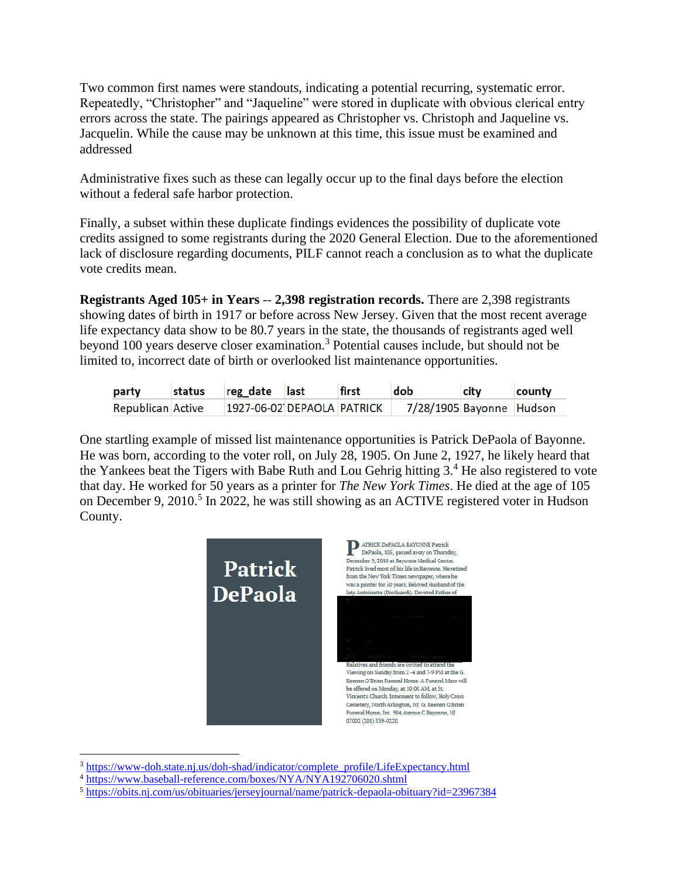Two common first names were standouts, indicating a potential recurring, systematic error. Repeatedly, "Christopher" and "Jaqueline" were stored in duplicate with obvious clerical entry errors across the state. The pairings appeared as Christopher vs. Christoph and Jaqueline vs. Jacquelin. While the cause may be unknown at this time, this issue must be examined and addressed

Administrative fixes such as these can legally occur up to the final days before the election without a federal safe harbor protection.

Finally, a subset within these duplicate findings evidences the possibility of duplicate vote credits assigned to some registrants during the 2020 General Election. Due to the aforementioned lack of disclosure regarding documents, PILF cannot reach a conclusion as to what the duplicate vote credits mean.

**Registrants Aged 105+ in Years** -- **2,398 registration records.** There are 2,398 registrants showing dates of birth in 1917 or before across New Jersey. Given that the most recent average life expectancy data show to be 80.7 years in the state, the thousands of registrants aged well beyond 100 years deserve closer examination.<sup>3</sup> Potential causes include, but should not be limited to, incorrect date of birth or overlooked list maintenance opportunities.

| party                    | status | reg date last              | first | dob                      | city | county |
|--------------------------|--------|----------------------------|-------|--------------------------|------|--------|
| <b>Republican Active</b> |        | 1927-06-02 DEPAOLA PATRICK |       | 7/28/1905 Bayonne Hudson |      |        |

One startling example of missed list maintenance opportunities is Patrick DePaola of Bayonne. He was born, according to the voter roll, on July 28, 1905. On June 2, 1927, he likely heard that the Yankees beat the Tigers with Babe Ruth and Lou Gehrig hitting  $3<sup>4</sup>$ . He also registered to vote that day. He worked for 50 years as a printer for *The New York Times*. He died at the age of 105 on December 9, 2010.<sup>5</sup> In 2022, he was still showing as an ACTIVE registered voter in Hudson County.



<sup>&</sup>lt;sup>3</sup> [https://www-doh.state.nj.us/doh-shad/indicator/complete\\_profile/LifeExpectancy.html](https://www-doh.state.nj.us/doh-shad/indicator/complete_profile/LifeExpectancy.html)

<sup>4</sup> <https://www.baseball-reference.com/boxes/NYA/NYA192706020.shtml>

<sup>5</sup> <https://obits.nj.com/us/obituaries/jerseyjournal/name/patrick-depaola-obituary?id=23967384>